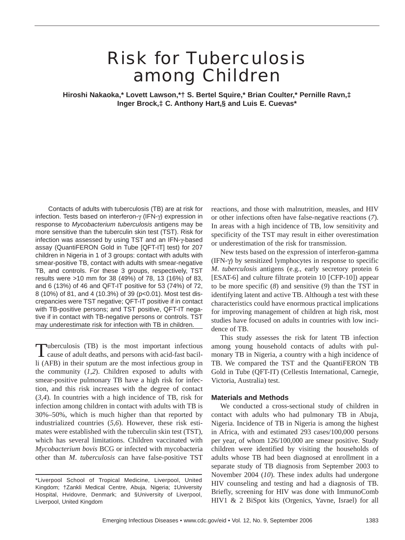# Risk for Tuberculosis among Children

**Hiroshi Nakaoka,\* Lovett Lawson,\*† S. Bertel Squire,\* Brian Coulter,\* Pernille Ravn,‡ Inger Brock,‡ C. Anthony Hart,§ and Luis E. Cuevas\***

Contacts of adults with tuberculosis (TB) are at risk for infection. Tests based on interferon-γ (IFN-γ) expression in response to *Mycobacterium tuberculosis* antigens may be more sensitive than the tuberculin skin test (TST). Risk for infection was assessed by using TST and an IFN-γ-based assay (QuantiFERON Gold in Tube [QFT-IT] test) for 207 children in Nigeria in 1 of 3 groups: contact with adults with smear-positive TB, contact with adults with smear-negative TB, and controls. For these 3 groups, respectively, TST results were >10 mm for 38 (49%) of 78, 13 (16%) of 83, and 6 (13%) of 46 and QFT-IT positive for 53 (74%) of 72, 8 (10%) of 81, and 4 (10.3%) of 39 (p<0.01). Most test discrepancies were TST negative; QFT-IT positive if in contact with TB-positive persons; and TST positive, QFT-IT negative if in contact with TB-negative persons or controls. TST may underestimate risk for infection with TB in children.

Tuberculosis (TB) is the most important infectious cause of adult deaths, and persons with acid-fast bacilli (AFB) in their sputum are the most infectious group in the community  $(1,2)$ . Children exposed to adults with smear-positive pulmonary TB have a high risk for infection, and this risk increases with the degree of contact (*3*,*4*). In countries with a high incidence of TB, risk for infection among children in contact with adults with TB is 30%–50%, which is much higher than that reported by industrialized countries (*5*,*6*). However, these risk estimates were established with the tuberculin skin test (TST), which has several limitations. Children vaccinated with *Mycobacterium bovis* BCG or infected with mycobacteria other than *M*. *tuberculosis* can have false-positive TST

reactions, and those with malnutrition, measles, and HIV or other infections often have false-negative reactions (*7*). In areas with a high incidence of TB, low sensitivity and specificity of the TST may result in either overestimation or underestimation of the risk for transmission.

New tests based on the expression of interferon-gamma (IFN-γ) by sensitized lymphocytes in response to specific *M*. *tuberculosis* antigens (e.g., early secretory protein 6 [ESAT-6] and culture filtrate protein 10 [CFP-10]) appear to be more specific (*8*) and sensitive (*9*) than the TST in identifying latent and active TB. Although a test with these characteristics could have enormous practical implications for improving management of children at high risk, most studies have focused on adults in countries with low incidence of TB.

This study assesses the risk for latent TB infection among young household contacts of adults with pulmonary TB in Nigeria, a country with a high incidence of TB. We compared the TST and the QuantiFERON TB Gold in Tube (QFT-IT) (Cellestis International, Carnegie, Victoria, Australia) test.

### **Materials and Methods**

We conducted a cross-sectional study of children in contact with adults who had pulmonary TB in Abuja, Nigeria. Incidence of TB in Nigeria is among the highest in Africa, with and estimated 293 cases/100,000 persons per year, of whom 126/100,000 are smear positive. Study children were identified by visiting the households of adults whose TB had been diagnosed at enrollment in a separate study of TB diagnosis from September 2003 to November 2004 (*10*). These index adults had undergone HIV counseling and testing and had a diagnosis of TB. Briefly, screening for HIV was done with ImmunoComb HIV1 & 2 BiSpot kits (Orgenics, Yavne, Israel) for all

<sup>\*</sup>Liverpool School of Tropical Medicine, Liverpool, United Kingdom; †Zankli Medical Centre, Abuja, Nigeria; ‡University Hospital, Hvidovre, Denmark; and §University of Liverpool, Liverpool, United Kingdom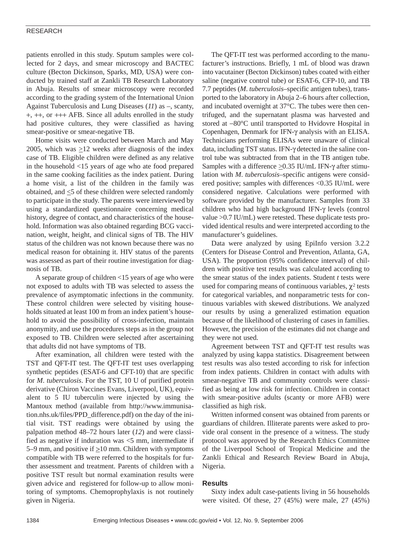## RESEARCH

patients enrolled in this study. Sputum samples were collected for 2 days, and smear microscopy and BACTEC culture (Becton Dickinson, Sparks, MD, USA) were conducted by trained staff at Zankli TB Research Laboratory in Abuja. Results of smear microscopy were recorded according to the grading system of the International Union Against Tuberculosis and Lung Diseases (*11*) as –, scanty, +, ++, or +++ AFB. Since all adults enrolled in the study had positive cultures, they were classified as having smear-positive or smear-negative TB.

Home visits were conducted between March and May 2005, which was  $\geq$ 12 weeks after diagnosis of the index case of TB. Eligible children were defined as any relative in the household <15 years of age who ate food prepared in the same cooking facilities as the index patient. During a home visit, a list of the children in the family was obtained, and  $\leq$ 5 of these children were selected randomly to participate in the study. The parents were interviewed by using a standardized questionnaire concerning medical history, degree of contact, and characteristics of the household. Information was also obtained regarding BCG vaccination, weight, height, and clinical signs of TB. The HIV status of the children was not known because there was no medical reason for obtaining it. HIV status of the parents was assessed as part of their routine investigation for diagnosis of TB.

A separate group of children <15 years of age who were not exposed to adults with TB was selected to assess the prevalence of asymptomatic infections in the community. These control children were selected by visiting households situated at least 100 m from an index patient's household to avoid the possibility of cross-infection, maintain anonymity, and use the procedures steps as in the group not exposed to TB. Children were selected after ascertaining that adults did not have symptoms of TB.

After examination, all children were tested with the TST and QFT-IT test. The QFT-IT test uses overlapping synthetic peptides (ESAT-6 and CFT-10) that are specific for *M*. *tuberculosis*. For the TST, 10 U of purified protein derivative (Chiron Vaccines Evans, Liverpool, UK), equivalent to 5 IU tuberculin were injected by using the Mantoux method (available from http://www.immunisation.nhs.uk/files/PPD\_difference.pdf) on the day of the initial visit. TST readings were obtained by using the palpation method 48–72 hours later (*12*) and were classified as negative if induration was  $\leq$ 5 mm, intermediate if 5–9 mm, and positive if  $\geq$ 10 mm. Children with symptoms compatible with TB were referred to the hospitals for further assessment and treatment. Parents of children with a positive TST result but normal examination results were given advice and registered for follow-up to allow monitoring of symptoms. Chemoprophylaxis is not routinely given in Nigeria.

The QFT-IT test was performed according to the manufacturer's instructions. Briefly, 1 mL of blood was drawn into vacutainer (Becton Dickinson) tubes coated with either saline (negative control tube) or ESAT-6, CFP-10, and TB 7.7 peptides (*M*. *tuberculosis–*specific antigen tubes), transported to the laboratory in Abuja 2–6 hours after collection, and incubated overnight at 37°C. The tubes were then centrifuged, and the supernatant plasma was harvested and stored at −80°C until transported to Hvidovre Hospital in Copenhagen, Denmark for IFN-γ analysis with an ELISA. Technicians performing ELISAs were unaware of clinical data, including TST status. IFN-γ detected in the saline control tube was subtracted from that in the TB antigen tube. Samples with a difference  $\geq$ 0.35 IU/mL IFN- $\gamma$  after stimulation with *M*. *tuberculosis*–specific antigens were considered positive; samples with differences <0.35 IU/mL were considered negative. Calculations were performed with software provided by the manufacturer. Samples from 33 children who had high background IFN-γ levels (control value >0.7 IU/mL) were retested. These duplicate tests provided identical results and were interpreted according to the manufacturer's guidelines.

Data were analyzed by using EpiInfo version 3.2.2 (Centers for Disease Control and Prevention, Atlanta, GA, USA). The proportion (95% confidence interval) of children with positive test results was calculated according to the smear status of the index patients. Student *t* tests were used for comparing means of continuous variables,  $\chi^2$  tests for categorical variables, and nonparametric tests for continuous variables with skewed distributions. We analyzed our results by using a generalized estimation equation because of the likelihood of clustering of cases in families. However, the precision of the estimates did not change and they were not used.

Agreement between TST and QFT-IT test results was analyzed by using kappa statistics. Disagreement between test results was also tested according to risk for infection from index patients. Children in contact with adults with smear-negative TB and community controls were classified as being at low risk for infection. Children in contact with smear-positive adults (scanty or more AFB) were classified as high risk.

Written informed consent was obtained from parents or guardians of children. Illiterate parents were asked to provide oral consent in the presence of a witness. The study protocol was approved by the Research Ethics Committee of the Liverpool School of Tropical Medicine and the Zankli Ethical and Research Review Board in Abuja, Nigeria.

## **Results**

Sixty index adult case-patients living in 56 households were visited. Of these, 27 (45%) were male, 27 (45%)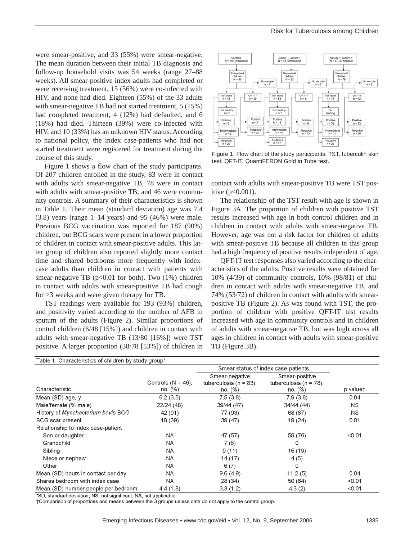were smear-positive, and 33 (55%) were smear-negative. The mean duration between their initial TB diagnosis and follow-up household visits was 54 weeks (range 27–88 weeks). All smear-positive index adults had completed or were receiving treatment, 15 (56%) were co-infected with HIV, and none had died. Eighteen (55%) of the 33 adults with smear-negative TB had not started treatment, 5 (15%) had completed treatment, 4 (12%) had defaulted, and 6 (18%) had died. Thirteen (39%) were co-infected with HIV, and 10 (33%) has an unknown HIV status. According to national policy, the index case-patients who had not started treatment were registered for treatment during the course of this study.

Figure 1 shows a flow chart of the study participants. Of 207 children enrolled in the study, 83 were in contact with adults with smear-negative TB, 78 were in contact with adults with smear-positive TB, and 46 were community controls. A summary of their characteristics is shown in Table 1. Their mean (standard deviation) age was 7.4  $(3.8)$  years (range 1–14 years) and 95 (46%) were male. Previous BCG vaccination was reported for 187 (90%) children, but BCG scars were present in a lower proportion of children in contact with smear-positive adults. This latter group of children also reported slightly more contact time and shared bedrooms more frequently with indexcase adults than children in contact with patients with smear-negative TB ( $p<0.01$  for both). Two (1%) children in contact with adults with smear-positive TB had cough for >3 weeks and were given therapy for TB.

TST readings were available for 193 (93%) children, and positivity varied according to the number of AFB in sputum of the adults (Figure 2). Similar proportions of control children (6/48 [15%]) and children in contact with adults with smear-negative TB (13/80 [16%]) were TST positive. A larger proportion (38/78 [53%]) of children in



Figure 1. Flow chart of the study participants. TST, tuberculin skin test; QFT-IT, QuantiFERON Gold in Tube test.

contact with adults with smear-positive TB were TST positive  $(p<0.001)$ .

The relationship of the TST result with age is shown in Figure 3A. The proportion of children with positive TST results increased with age in both control children and in children in contact with adults with smear-negative TB. However, age was not a risk factor for children of adults with smear-positive TB because all children in this group had a high frequency of positive results independent of age.

QFT-IT test responses also varied according to the characteristics of the adults. Positive results were obtained for 10% (4/39) of community controls, 10% (98/81) of children in contact with adults with smear-negative TB, and 74% (53/72) of children in contact with adults with smearpositive TB (Figure 2). As was found with TST, the proportion of children with positive QFT-IT test results increased with age in community controls and in children of adults with smear-negative TB, but was high across all ages in children in contact with adults with smear-positive TB (Figure 3B).

|                                     |                                  | Smear status of index case-patients                     |                                                         |          |
|-------------------------------------|----------------------------------|---------------------------------------------------------|---------------------------------------------------------|----------|
| Characteristic                      | Controls $(N = 46)$ ,<br>no. (%) | Smear-negative<br>tuberculosis ( $n = 83$ ),<br>no. (%) | Smear-positive<br>tuberculosis ( $n = 78$ ),<br>no. (%) | p valuet |
| Mean (SD) age, y                    | 6.2(3.5)                         | 7.5(3.8)                                                | 7.9(3.8)                                                | 0.04     |
| Male/female (% male)                | 22/24 (48)                       | 39/44 (47)                                              | 34/44 (44)                                              | NS.      |
| History of Mycobacterium bovis BCG  | 42 (91)                          | 77 (93)                                                 | 68 (87)                                                 | NS.      |
| <b>BCG</b> scar present             | 18 (39)                          | 39(47)                                                  | 19(24)                                                  | 0.01     |
| Relationship to index case-patient  |                                  |                                                         |                                                         |          |
| Son or daughter                     | NA.                              | 47 (57)                                                 | 59 (76)                                                 | < 0.01   |
| Grandchild                          | ΝA                               | 7(8)                                                    | 0                                                       |          |
| Sibling                             | NA.                              | 9(11)                                                   | 15 (19)                                                 |          |
| Niece or nephew                     | ΝA                               | 14(17)                                                  | 4(5)                                                    |          |
| Other                               | NA                               | 6(7)                                                    | 0                                                       |          |
| Mean (SD) hours in contact per day  | NA.                              | 9.6(4.9)                                                | 11.2(5)                                                 | 0.04     |
| Shares bedroom with index case      | NA                               | 28 (34)                                                 | 50 (64)                                                 | < 0.01   |
| Mean (SD) number people per bedroom | 4.4(1.8)                         | 3.3(1.2)                                                | 4.3(2)                                                  | < 0.01   |

\*SD, standard deviation; NS, not significant; NA, not applicable.

+Comparison of proportions and means between the 3 groups unless data do not apply to the control group.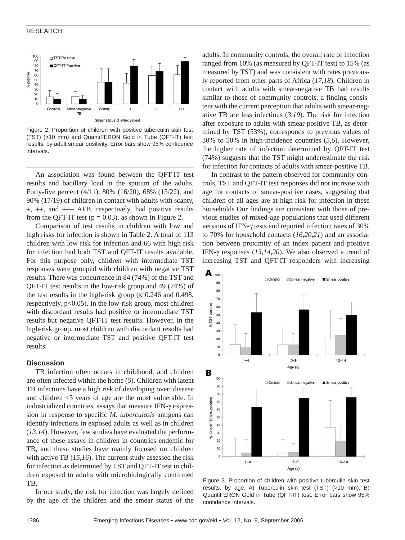#### RESEARCH



Figure 2. Proportion of children with positive tuberculin skin test (TST) (>10 mm) and QuantiFERON Gold in Tube (QFT-IT) test results, by adult smear positivity. Error bars show 95% confidence intervals.

An association was found between the QFT-IT test results and bacillary load in the sputum of the adults. Forty-five percent (4/11), 80% (16/20), 68% (15/22), and 90% (17/19) of children in contact with adults with scanty, +, ++, and +++ AFB, respectively, had positive results from the QFT-IT test ( $p = 0.03$ ), as shown in Figure 2.

Comparison of test results in children with low and high risks for infection is shown in Table 2. A total of 113 children with low risk for infection and 66 with high risk for infection had both TST and QFT-IT results available. For this purpose only, children with intermediate TST responses were grouped with children with negative TST results. There was concurrence in 84 (74%) of the TST and QFT-IT test results in the low-risk group and 49 (74%) of the test results in the high-risk group (κ 0.246 and 0.498, respectively,  $p<0.05$ ). In the low-risk group, most children with discordant results had positive or intermediate TST results but negative QFT-IT test results. However, in the high-risk group, most children with discordant results had negative or intermediate TST and positive QFT-IT test results.

#### **Discussion**

TB infection often occurs in childhood, and children are often infected within the home (*5*). Children with latent TB infections have a high risk of developing overt disease and children <5 years of age are the most vulnerable. In industrialized countries, assays that measure IFN-γ expression in response to specific *M*. *tuberculosis* antigens can identify infections in exposed adults as well as in children (*13*,*14*). However, few studies have evaluated the performance of these assays in children in countries endemic for TB, and these studies have mainly focused on children with active TB (*15*,*16*). The current study assessed the risk for infection as determined by TST and QFT-IT test in children exposed to adults with microbiologically confirmed TB.

In our study, the risk for infection was largely defined by the age of the children and the smear status of the adults. In community controls, the overall rate of infection ranged from 10% (as measured by QFT-IT test) to 15% (as measured by TST) and was consistent with rates previously reported from other parts of Africa (*17*,*18*). Children in contact with adults with smear-negative TB had results similar to those of community controls, a finding consistent with the current perception that adults with smear-negative TB are less infectious (*3*,*19*). The risk for infection after exposure to adults with smear-positive TB, as determined by TST (53%), corresponds to previous values of 30% to 50% in high-incidence countries (*5*,*6*). However, the higher rate of infection determined by QFT-IT test (74%) suggests that the TST might underestimate the risk for infection for contacts of adults with smear-positive TB.

In contrast to the pattern observed for community controls, TST and QFT-IT test responses did not increase with age for contacts of smear-positive cases, suggesting that children of all ages are at high risk for infection in these households Our findings are consistent with those of previous studies of mixed-age populations that used different versions of IFN-γ tests and reported infection rates of 30% to 70% for household contacts (*16*,*20*,*21*) and an association between proximity of an index patient and positive IFN-γ responses (*13*,*14*,*20*). We also observed a trend of increasing TST and QFT-IT responders with increasing



Figure 3. Proportion of children with positive tuberculin skin test results, by age. A) Tuberculin skin test (TST) (>10 mm). B) QuantiFERON Gold in Tube (QFT-IT) test. Error bars show 95% confidence intervals.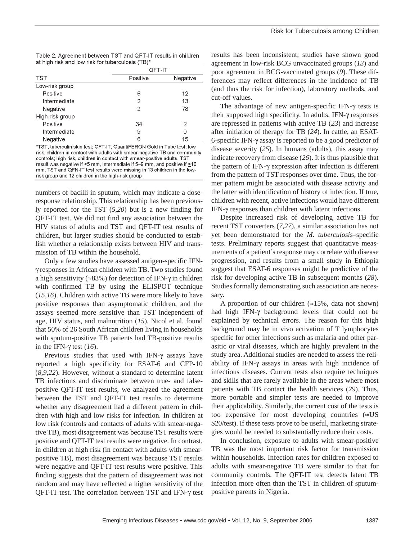| Table 2. Agreement between TST and QFT-IT results in children |  |
|---------------------------------------------------------------|--|
| at high risk and low risk for tuberculosis (TB)*              |  |

|                 | QFT-IT         |          |  |
|-----------------|----------------|----------|--|
| TST             | Positive       | Negative |  |
| Low-risk group  |                |          |  |
| Positive        | 6              | 12       |  |
| Intermediate    | 2              | 13       |  |
| Negative        | $\overline{2}$ | 78       |  |
| High-risk group |                |          |  |
| Positive        | 34             | 2        |  |
| Intermediate    | 9              | 0        |  |
| Negative        | 6              | 15       |  |

\*TST, tuberculin skin test; QFT-IT, QuantiFERON Gold in Tube test; low risk, children in contact with adults with smear-negative TB and community controls; high risk, children in contact with smear-positive adults. TST result was negative if <5 mm, intermediate if 5-9 mm, and positive if >10 mm. TST and QFN-IT test results were missing in 13 children in the lowrisk group and 12 children in the high-risk group

numbers of bacilli in sputum, which may indicate a doseresponse relationship. This relationship has been previously reported for the TST (*5*,*20*) but is a new finding for QFT-IT test. We did not find any association between the HIV status of adults and TST and QFT-IT test results of children, but larger studies should be conducted to establish whether a relationship exists between HIV and transmission of TB within the household.

Only a few studies have assessed antigen-specific IFNγ responses in African children with TB. Two studies found a high sensitivity ( $\approx 83\%$ ) for detection of IFN- $\gamma$  in children with confirmed TB by using the ELISPOT technique (*15*,*16*). Children with active TB were more likely to have positive responses than asymptomatic children, and the assays seemed more sensitive than TST independent of age, HIV status, and malnutrition (*15*). Nicol et al. found that 50% of 26 South African children living in households with sputum-positive TB patients had TB-positive results in the IFN-γ test (*16*).

Previous studies that used with IFN- $\gamma$  assays have reported a high specificity for ESAT-6 and CFP-10 (*8*,*9*,*22*). However, without a standard to determine latent TB infections and discriminate between true- and falsepositive QFT-IT test results, we analyzed the agreement between the TST and QFT-IT test results to determine whether any disagreement had a different pattern in children with high and low risks for infection. In children at low risk (controls and contacts of adults with smear-negative TB), most disagreement was because TST results were positive and QFT-IT test results were negative. In contrast, in children at high risk (in contact with adults with smearpositive TB), most disagreement was because TST results were negative and QFT-IT test results were positive. This finding suggests that the pattern of disagreement was not random and may have reflected a higher sensitivity of the QFT-IT test. The correlation between TST and IFN-γ test

results has been inconsistent; studies have shown good agreement in low-risk BCG unvaccinated groups (*13*) and poor agreement in BCG-vaccinated groups (*9*). These differences may reflect differences in the incidence of TB (and thus the risk for infection), laboratory methods, and cut-off values.

The advantage of new antigen-specific IFN-γ tests is their supposed high specificity. In adults, IFN-γ responses are repressed in patients with active TB (*23*) and increase after initiation of therapy for TB (*24*). In cattle, an ESAT-6-specific IFN-γ assay is reported to be a good predictor of disease severity (*25*). In humans (adults), this assay may indicate recovery from disease (*26*). It is thus plausible that the pattern of IFN-γ expression after infection is different from the pattern of TST responses over time. Thus, the former pattern might be associated with disease activity and the latter with identification of history of infection. If true, children with recent, active infections would have different IFN-γ responses than children with latent infections.

Despite increased risk of developing active TB for recent TST converters (*7*,*27*), a similar association has not yet been demonstrated for the *M*. *tuberculosis*–specific tests. Preliminary reports suggest that quantitative measurements of a patient's response may correlate with disease progression, and results from a small study in Ethiopia suggest that ESAT-6 responses might be predictive of the risk for developing active TB in subsequent months (*28*). Studies formally demonstrating such association are necessary.

A proportion of our children  $(\approx 15\%$ , data not shown) had high IFN-γ background levels that could not be explained by technical errors. The reason for this high background may be in vivo activation of T lymphocytes specific for other infections such as malaria and other parasitic or viral diseases, which are highly prevalent in the study area. Additional studies are needed to assess the reliability of IFN-γ assays in areas with high incidence of infectious diseases. Current tests also require techniques and skills that are rarely available in the areas where most patients with TB contact the health services (*29*). Thus, more portable and simpler tests are needed to improve their applicability. Similarly, the current cost of the tests is too expensive for most developing countries (≈US \$20/test). If these tests prove to be useful, marketing strategies would be needed to substantially reduce their costs.

In conclusion, exposure to adults with smear-positive TB was the most important risk factor for transmission within households. Infection rates for children exposed to adults with smear-negative TB were similar to that for community controls. The QFT-IT test detects latent TB infection more often than the TST in children of sputumpositive parents in Nigeria.